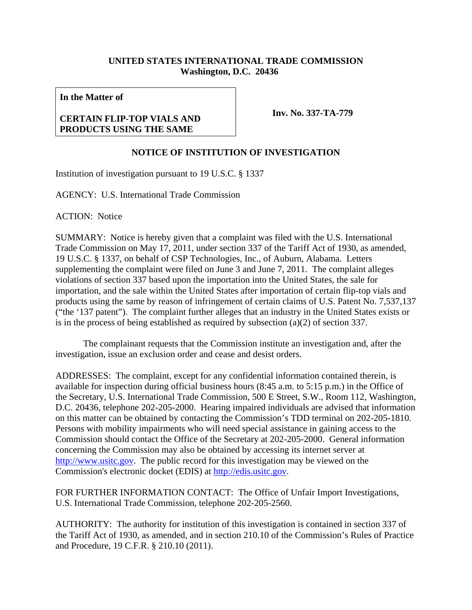## **UNITED STATES INTERNATIONAL TRADE COMMISSION Washington, D.C. 20436**

**In the Matter of** 

## **CERTAIN FLIP-TOP VIALS AND PRODUCTS USING THE SAME**

**Inv. No. 337-TA-779**

## **NOTICE OF INSTITUTION OF INVESTIGATION**

Institution of investigation pursuant to 19 U.S.C. § 1337

AGENCY: U.S. International Trade Commission

ACTION: Notice

SUMMARY: Notice is hereby given that a complaint was filed with the U.S. International Trade Commission on May 17, 2011, under section 337 of the Tariff Act of 1930, as amended, 19 U.S.C. § 1337, on behalf of CSP Technologies, Inc., of Auburn, Alabama. Letters supplementing the complaint were filed on June 3 and June 7, 2011. The complaint alleges violations of section 337 based upon the importation into the United States, the sale for importation, and the sale within the United States after importation of certain flip-top vials and products using the same by reason of infringement of certain claims of U.S. Patent No. 7,537,137 ("the '137 patent"). The complaint further alleges that an industry in the United States exists or is in the process of being established as required by subsection (a)(2) of section 337.

 The complainant requests that the Commission institute an investigation and, after the investigation, issue an exclusion order and cease and desist orders.

ADDRESSES: The complaint, except for any confidential information contained therein, is available for inspection during official business hours (8:45 a.m. to 5:15 p.m.) in the Office of the Secretary, U.S. International Trade Commission, 500 E Street, S.W., Room 112, Washington, D.C. 20436, telephone 202-205-2000. Hearing impaired individuals are advised that information on this matter can be obtained by contacting the Commission's TDD terminal on 202-205-1810. Persons with mobility impairments who will need special assistance in gaining access to the Commission should contact the Office of the Secretary at 202-205-2000. General information concerning the Commission may also be obtained by accessing its internet server at http://www.usitc.gov. The public record for this investigation may be viewed on the Commission's electronic docket (EDIS) at http://edis.usitc.gov.

FOR FURTHER INFORMATION CONTACT: The Office of Unfair Import Investigations, U.S. International Trade Commission, telephone 202-205-2560.

AUTHORITY: The authority for institution of this investigation is contained in section 337 of the Tariff Act of 1930, as amended, and in section 210.10 of the Commission's Rules of Practice and Procedure, 19 C.F.R. § 210.10 (2011).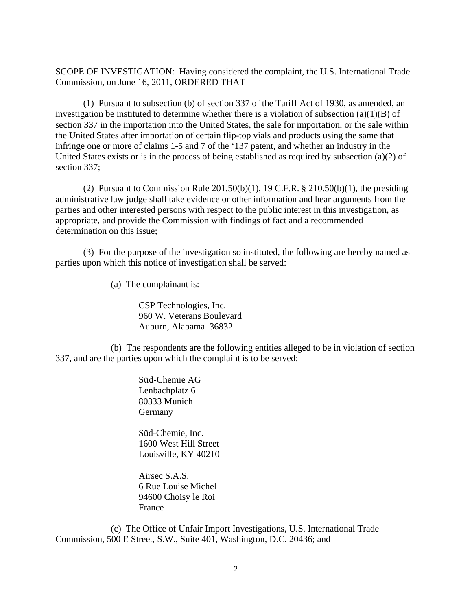SCOPE OF INVESTIGATION: Having considered the complaint, the U.S. International Trade Commission, on June 16, 2011, ORDERED THAT –

 (1) Pursuant to subsection (b) of section 337 of the Tariff Act of 1930, as amended, an investigation be instituted to determine whether there is a violation of subsection  $(a)(1)(B)$  of section 337 in the importation into the United States, the sale for importation, or the sale within the United States after importation of certain flip-top vials and products using the same that infringe one or more of claims 1-5 and 7 of the '137 patent, and whether an industry in the United States exists or is in the process of being established as required by subsection (a)(2) of section 337;

(2) Pursuant to Commission Rule  $201.50(b)(1)$ , 19 C.F.R. § 210.50(b)(1), the presiding administrative law judge shall take evidence or other information and hear arguments from the parties and other interested persons with respect to the public interest in this investigation, as appropriate, and provide the Commission with findings of fact and a recommended determination on this issue;

(3) For the purpose of the investigation so instituted, the following are hereby named as parties upon which this notice of investigation shall be served:

(a) The complainant is:

 CSP Technologies, Inc. 960 W. Veterans Boulevard Auburn, Alabama 36832

 (b) The respondents are the following entities alleged to be in violation of section 337, and are the parties upon which the complaint is to be served:

> Süd-Chemie AG Lenbachplatz 6 80333 Munich Germany

 Süd-Chemie, Inc. 1600 West Hill Street Louisville, KY 40210

 Airsec S.A.S. 6 Rue Louise Michel 94600 Choisy le Roi France

 (c) The Office of Unfair Import Investigations, U.S. International Trade Commission, 500 E Street, S.W., Suite 401, Washington, D.C. 20436; and